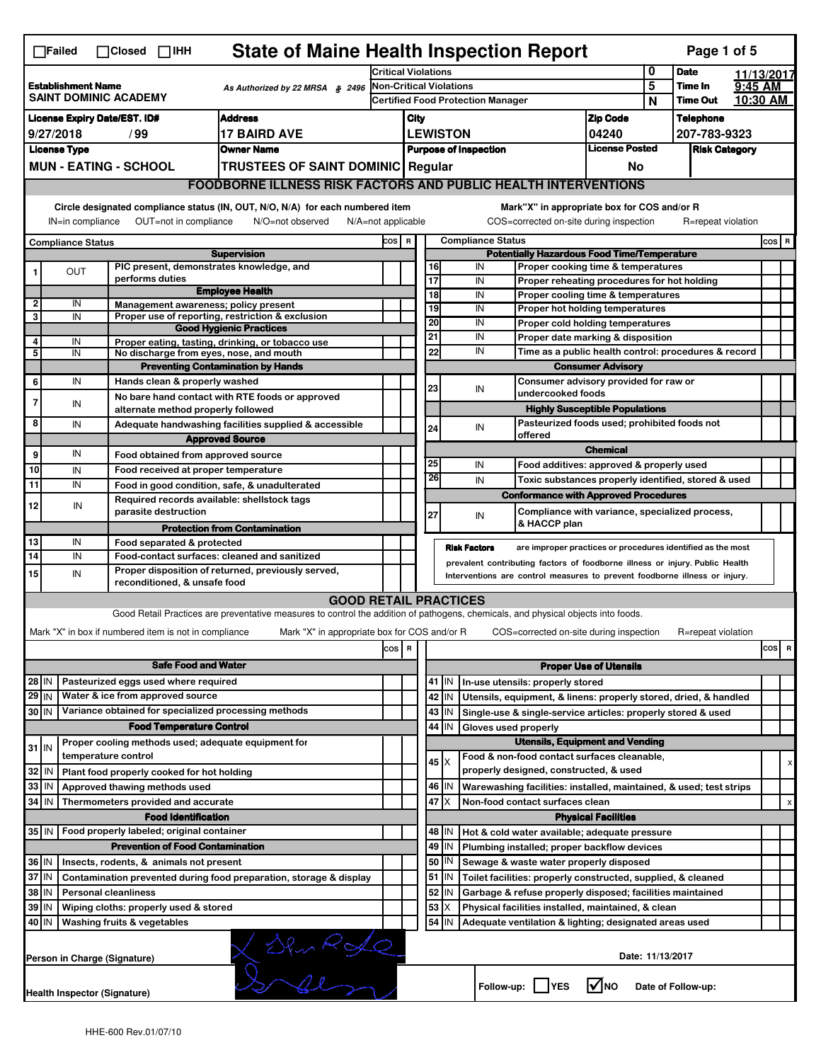|                                                                                                 | <b>State of Maine Health Inspection Report</b><br>Page 1 of 5<br>$\Box$ Failed<br>$\Box$ Closed $\Box$ IHH                                                                |  |                                                                                          |                                                                                                                                   |       |                                                               |                                                                                                                                       |                          |                     |                                             |                                                                                           |                          |  |                    |  |       |
|-------------------------------------------------------------------------------------------------|---------------------------------------------------------------------------------------------------------------------------------------------------------------------------|--|------------------------------------------------------------------------------------------|-----------------------------------------------------------------------------------------------------------------------------------|-------|---------------------------------------------------------------|---------------------------------------------------------------------------------------------------------------------------------------|--------------------------|---------------------|---------------------------------------------|-------------------------------------------------------------------------------------------|--------------------------|--|--------------------|--|-------|
|                                                                                                 |                                                                                                                                                                           |  | Critical Violations                                                                      |                                                                                                                                   |       |                                                               |                                                                                                                                       | 0                        | <b>Date</b>         |                                             | 11/13/2017                                                                                |                          |  |                    |  |       |
| <b>Establishment Name</b><br>As Authorized by 22 MRSA § 2496<br><b>SAINT DOMINIC ACADEMY</b>    |                                                                                                                                                                           |  | <b>Non-Critical Violations</b><br>Certified Food Protection Manager                      |                                                                                                                                   |       |                                                               |                                                                                                                                       |                          | $\overline{5}$      | Time In                                     | 9:45 AM                                                                                   |                          |  |                    |  |       |
|                                                                                                 |                                                                                                                                                                           |  |                                                                                          |                                                                                                                                   |       |                                                               |                                                                                                                                       |                          |                     |                                             | N                                                                                         | <b>Time Out</b>          |  | 10:30 AM           |  |       |
| <b>License Expiry Date/EST. ID#</b><br><b>Address</b>                                           |                                                                                                                                                                           |  |                                                                                          | City<br><b>LEWISTON</b>                                                                                                           |       |                                                               | <b>Zip Code</b><br>04240                                                                                                              |                          | <b>Telephone</b>    |                                             |                                                                                           |                          |  |                    |  |       |
| <b>17 BAIRD AVE</b><br>9/27/2018<br>/ 99<br><b>Owner Name</b>                                   |                                                                                                                                                                           |  |                                                                                          | <b>License Posted</b><br><b>Purpose of Inspection</b>                                                                             |       |                                                               | 207-783-9323<br><b>Risk Category</b>                                                                                                  |                          |                     |                                             |                                                                                           |                          |  |                    |  |       |
| <b>License Type</b><br><b>MUN - EATING - SCHOOL</b><br><b>TRUSTEES OF SAINT DOMINIC Regular</b> |                                                                                                                                                                           |  |                                                                                          |                                                                                                                                   |       |                                                               |                                                                                                                                       |                          |                     | No                                          |                                                                                           |                          |  |                    |  |       |
|                                                                                                 |                                                                                                                                                                           |  |                                                                                          |                                                                                                                                   |       |                                                               |                                                                                                                                       |                          |                     |                                             |                                                                                           |                          |  |                    |  |       |
|                                                                                                 | <b>FOODBORNE ILLNESS RISK FACTORS AND PUBLIC HEALTH INTERVENTIONS</b>                                                                                                     |  |                                                                                          |                                                                                                                                   |       |                                                               |                                                                                                                                       |                          |                     |                                             |                                                                                           |                          |  |                    |  |       |
|                                                                                                 | Circle designated compliance status (IN, OUT, N/O, N/A) for each numbered item<br>OUT=not in compliance<br>IN=in compliance<br>N/O=not observed<br>$N/A = not$ applicable |  |                                                                                          |                                                                                                                                   |       |                                                               |                                                                                                                                       |                          |                     |                                             | Mark"X" in appropriate box for COS and/or R<br>COS=corrected on-site during inspection    |                          |  | R=repeat violation |  |       |
| <b>Compliance Status</b>                                                                        |                                                                                                                                                                           |  | COS R                                                                                    |                                                                                                                                   |       |                                                               |                                                                                                                                       | <b>Compliance Status</b> |                     |                                             |                                                                                           |                          |  | cos   R            |  |       |
|                                                                                                 |                                                                                                                                                                           |  | PIC present, demonstrates knowledge, and                                                 | <b>Supervision</b>                                                                                                                |       |                                                               |                                                                                                                                       | 16                       |                     | IN                                          | <b>Potentially Hazardous Food Time/Temperature</b>                                        |                          |  |                    |  |       |
| 1                                                                                               | <b>OUT</b>                                                                                                                                                                |  | performs duties                                                                          |                                                                                                                                   |       |                                                               |                                                                                                                                       | $\overline{17}$          |                     | IN                                          | Proper cooking time & temperatures<br>Proper reheating procedures for hot holding         |                          |  |                    |  |       |
|                                                                                                 |                                                                                                                                                                           |  |                                                                                          | <b>Employee Health</b>                                                                                                            |       |                                                               |                                                                                                                                       | $\overline{18}$          |                     | IN                                          | Proper cooling time & temperatures                                                        |                          |  |                    |  |       |
| 2<br>3                                                                                          | IN<br>IN                                                                                                                                                                  |  | Management awareness; policy present                                                     | Proper use of reporting, restriction & exclusion                                                                                  |       |                                                               |                                                                                                                                       | 19                       |                     | IN                                          | Proper hot holding temperatures                                                           |                          |  |                    |  |       |
|                                                                                                 |                                                                                                                                                                           |  |                                                                                          | <b>Good Hygienic Practices</b>                                                                                                    |       |                                                               |                                                                                                                                       | 20                       |                     | IN                                          | Proper cold holding temperatures                                                          |                          |  |                    |  |       |
| 4                                                                                               | IN                                                                                                                                                                        |  |                                                                                          | Proper eating, tasting, drinking, or tobacco use                                                                                  |       |                                                               |                                                                                                                                       | 21<br>22                 |                     | IN<br>IN                                    | Proper date marking & disposition<br>Time as a public health control: procedures & record |                          |  |                    |  |       |
| 5                                                                                               | IN                                                                                                                                                                        |  | No discharge from eyes, nose, and mouth                                                  | <b>Preventing Contamination by Hands</b>                                                                                          |       |                                                               |                                                                                                                                       |                          |                     |                                             |                                                                                           | <b>Consumer Advisory</b> |  |                    |  |       |
| 6                                                                                               | IN                                                                                                                                                                        |  | Hands clean & properly washed                                                            |                                                                                                                                   |       |                                                               |                                                                                                                                       |                          |                     |                                             | Consumer advisory provided for raw or                                                     |                          |  |                    |  |       |
| $\overline{7}$                                                                                  |                                                                                                                                                                           |  |                                                                                          | No bare hand contact with RTE foods or approved                                                                                   |       |                                                               |                                                                                                                                       | 23                       |                     | IN                                          | undercooked foods                                                                         |                          |  |                    |  |       |
|                                                                                                 | IN                                                                                                                                                                        |  | alternate method properly followed                                                       |                                                                                                                                   |       |                                                               |                                                                                                                                       |                          |                     |                                             | <b>Highly Susceptible Populations</b>                                                     |                          |  |                    |  |       |
| 8                                                                                               | IN                                                                                                                                                                        |  |                                                                                          | Adequate handwashing facilities supplied & accessible                                                                             |       |                                                               |                                                                                                                                       | 24                       |                     | IN                                          | Pasteurized foods used; prohibited foods not<br>offered                                   |                          |  |                    |  |       |
| 9                                                                                               | IN                                                                                                                                                                        |  |                                                                                          | <b>Approved Source</b>                                                                                                            |       |                                                               |                                                                                                                                       |                          |                     |                                             |                                                                                           | <b>Chemical</b>          |  |                    |  |       |
| 10                                                                                              | IN                                                                                                                                                                        |  | Food obtained from approved source<br>Food received at proper temperature                |                                                                                                                                   |       |                                                               |                                                                                                                                       | 25                       |                     | IN                                          | Food additives: approved & properly used                                                  |                          |  |                    |  |       |
| 11                                                                                              | IN                                                                                                                                                                        |  | Food in good condition, safe, & unadulterated                                            |                                                                                                                                   |       |                                                               |                                                                                                                                       | 26                       |                     | IN                                          | Toxic substances properly identified, stored & used                                       |                          |  |                    |  |       |
|                                                                                                 |                                                                                                                                                                           |  | Required records available: shellstock tags                                              |                                                                                                                                   |       |                                                               |                                                                                                                                       |                          |                     |                                             | <b>Conformance with Approved Procedures</b>                                               |                          |  |                    |  |       |
| 12                                                                                              | IN                                                                                                                                                                        |  | parasite destruction                                                                     |                                                                                                                                   |       |                                                               |                                                                                                                                       | 27                       |                     | IN                                          | Compliance with variance, specialized process,                                            |                          |  |                    |  |       |
|                                                                                                 |                                                                                                                                                                           |  |                                                                                          | <b>Protection from Contamination</b>                                                                                              |       |                                                               |                                                                                                                                       |                          |                     |                                             | & HACCP plan                                                                              |                          |  |                    |  |       |
| 13<br>$\overline{14}$                                                                           | IN                                                                                                                                                                        |  | Food separated & protected                                                               |                                                                                                                                   |       |                                                               |                                                                                                                                       |                          | <b>Risk Factors</b> |                                             | are improper practices or procedures identified as the most                               |                          |  |                    |  |       |
|                                                                                                 | IN                                                                                                                                                                        |  | Food-contact surfaces: cleaned and sanitized                                             | Proper disposition of returned, previously served,                                                                                |       |                                                               |                                                                                                                                       |                          |                     |                                             | prevalent contributing factors of foodborne illness or injury. Public Health              |                          |  |                    |  |       |
| 15                                                                                              | IN                                                                                                                                                                        |  | reconditioned, & unsafe food                                                             |                                                                                                                                   |       |                                                               |                                                                                                                                       |                          |                     |                                             | Interventions are control measures to prevent foodborne illness or injury.                |                          |  |                    |  |       |
|                                                                                                 |                                                                                                                                                                           |  |                                                                                          | <b>GOOD RETAIL PRACTICES</b>                                                                                                      |       |                                                               |                                                                                                                                       |                          |                     |                                             |                                                                                           |                          |  |                    |  |       |
|                                                                                                 |                                                                                                                                                                           |  |                                                                                          | Good Retail Practices are preventative measures to control the addition of pathogens, chemicals, and physical objects into foods. |       |                                                               |                                                                                                                                       |                          |                     |                                             |                                                                                           |                          |  |                    |  |       |
|                                                                                                 |                                                                                                                                                                           |  | Mark "X" in box if numbered item is not in compliance                                    | Mark "X" in appropriate box for COS and/or R                                                                                      |       |                                                               |                                                                                                                                       |                          |                     |                                             | COS=corrected on-site during inspection                                                   |                          |  | R=repeat violation |  |       |
|                                                                                                 |                                                                                                                                                                           |  |                                                                                          |                                                                                                                                   | cos R |                                                               |                                                                                                                                       |                          |                     |                                             |                                                                                           |                          |  |                    |  | cos R |
|                                                                                                 |                                                                                                                                                                           |  | <b>Safe Food and Water</b>                                                               |                                                                                                                                   |       |                                                               | <b>Proper Use of Utensils</b>                                                                                                         |                          |                     |                                             |                                                                                           |                          |  |                    |  |       |
| $28$ IN                                                                                         |                                                                                                                                                                           |  | Pasteurized eggs used where required                                                     |                                                                                                                                   |       |                                                               |                                                                                                                                       | $41$ M                   |                     |                                             | In-use utensils: properly stored                                                          |                          |  |                    |  |       |
| $29$ IN                                                                                         |                                                                                                                                                                           |  | Water & ice from approved source<br>Variance obtained for specialized processing methods |                                                                                                                                   |       |                                                               |                                                                                                                                       | 42<br>IN                 |                     |                                             | Utensils, equipment, & linens: properly stored, dried, & handled                          |                          |  |                    |  |       |
| $30$ IN                                                                                         |                                                                                                                                                                           |  | <b>Food Temperature Control</b>                                                          |                                                                                                                                   |       |                                                               |                                                                                                                                       | 43<br>IN.<br>44<br>IN    |                     |                                             | Single-use & single-service articles: properly stored & used                              |                          |  |                    |  |       |
|                                                                                                 |                                                                                                                                                                           |  | Proper cooling methods used; adequate equipment for                                      |                                                                                                                                   |       |                                                               | Gloves used properly<br><b>Utensils, Equipment and Vending</b>                                                                        |                          |                     |                                             |                                                                                           |                          |  |                    |  |       |
| $31$ IN                                                                                         |                                                                                                                                                                           |  | temperature control                                                                      |                                                                                                                                   |       |                                                               |                                                                                                                                       | $45 \times$              |                     |                                             | Food & non-food contact surfaces cleanable,                                               |                          |  |                    |  |       |
| 32                                                                                              | IN                                                                                                                                                                        |  | Plant food properly cooked for hot holding                                               |                                                                                                                                   |       |                                                               |                                                                                                                                       |                          |                     |                                             | properly designed, constructed, & used                                                    |                          |  |                    |  | X     |
| 33                                                                                              | l IN                                                                                                                                                                      |  | Approved thawing methods used                                                            |                                                                                                                                   |       |                                                               |                                                                                                                                       | 46<br>ΙM                 |                     |                                             | Warewashing facilities: installed, maintained, & used; test strips                        |                          |  |                    |  |       |
| 34                                                                                              | l IN                                                                                                                                                                      |  | Thermometers provided and accurate                                                       |                                                                                                                                   |       |                                                               |                                                                                                                                       | 47<br>ΙX                 |                     |                                             | Non-food contact surfaces clean                                                           |                          |  |                    |  | x     |
|                                                                                                 | <b>Food Identification</b><br><b>Physical Facilities</b>                                                                                                                  |  |                                                                                          |                                                                                                                                   |       |                                                               |                                                                                                                                       |                          |                     |                                             |                                                                                           |                          |  |                    |  |       |
|                                                                                                 | 35 IN<br>Food properly labeled; original container                                                                                                                        |  |                                                                                          |                                                                                                                                   |       |                                                               |                                                                                                                                       | 48   IN                  |                     |                                             | Hot & cold water available; adequate pressure                                             |                          |  |                    |  |       |
|                                                                                                 | <b>Prevention of Food Contamination</b>                                                                                                                                   |  |                                                                                          |                                                                                                                                   |       |                                                               | 49<br>IN<br>50<br>ΙN                                                                                                                  |                          |                     | Plumbing installed; proper backflow devices |                                                                                           |                          |  |                    |  |       |
|                                                                                                 | 36 IN<br>Insects, rodents, & animals not present<br>37 IN<br>Contamination prevented during food preparation, storage & display                                           |  |                                                                                          |                                                                                                                                   |       |                                                               |                                                                                                                                       | 51<br>IN.                |                     |                                             | Sewage & waste water properly disposed                                                    |                          |  |                    |  |       |
|                                                                                                 | 38 IN<br><b>Personal cleanliness</b>                                                                                                                                      |  |                                                                                          |                                                                                                                                   |       |                                                               | Toilet facilities: properly constructed, supplied, & cleaned<br>52<br>IN<br>Garbage & refuse properly disposed; facilities maintained |                          |                     |                                             |                                                                                           |                          |  |                    |  |       |
| 39                                                                                              | I <sub>IN</sub><br>Wiping cloths: properly used & stored                                                                                                                  |  |                                                                                          |                                                                                                                                   |       | 53<br>Х<br>Physical facilities installed, maintained, & clean |                                                                                                                                       |                          |                     |                                             |                                                                                           |                          |  |                    |  |       |
| 40 IN                                                                                           |                                                                                                                                                                           |  | Washing fruits & vegetables                                                              |                                                                                                                                   |       |                                                               |                                                                                                                                       | $54$   IN                |                     |                                             | Adequate ventilation & lighting; designated areas used                                    |                          |  |                    |  |       |
| $\sum_{k=1}^{N}$<br>Date: 11/13/2017<br>Person in Charge (Signature)                            |                                                                                                                                                                           |  |                                                                                          |                                                                                                                                   |       |                                                               |                                                                                                                                       |                          |                     |                                             |                                                                                           |                          |  |                    |  |       |
|                                                                                                 | l√Ino<br>Follow-up:<br><b>IYES</b><br>Date of Follow-up:<br>Health Inspector (Signature)                                                                                  |  |                                                                                          |                                                                                                                                   |       |                                                               |                                                                                                                                       |                          |                     |                                             |                                                                                           |                          |  |                    |  |       |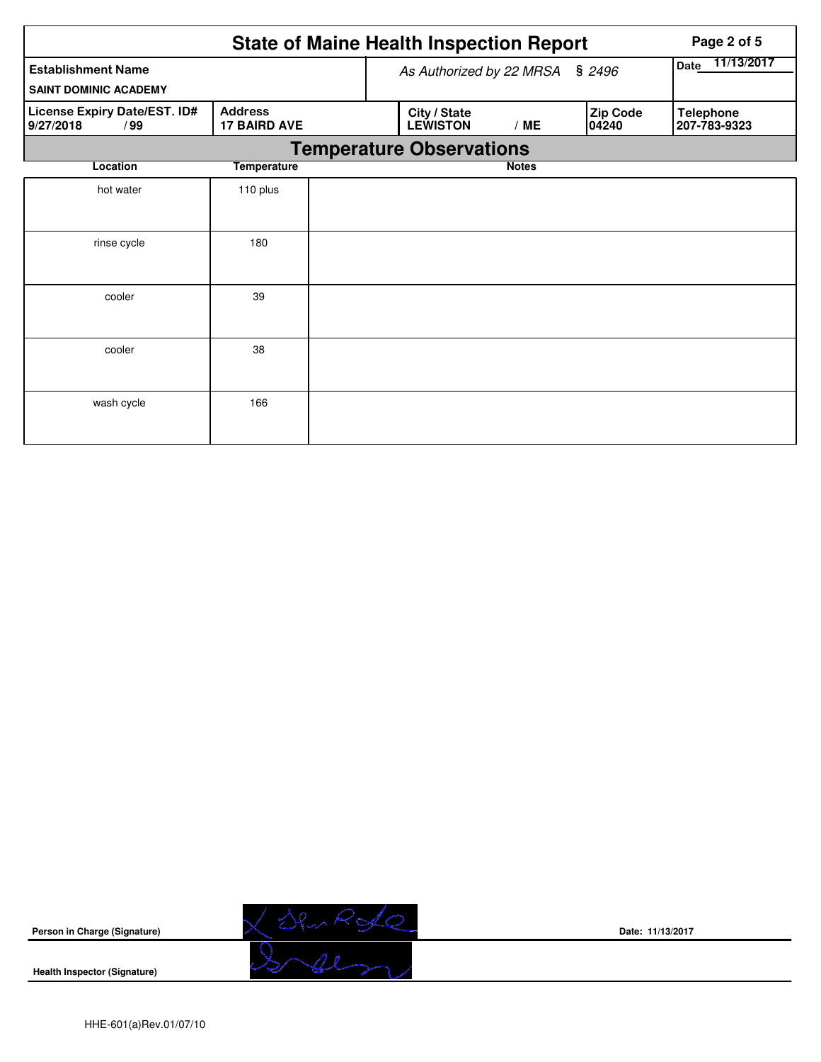|                                                           |                                       | <b>State of Maine Health Inspection Report</b> | Page 2 of 5  |                   |                                  |
|-----------------------------------------------------------|---------------------------------------|------------------------------------------------|--------------|-------------------|----------------------------------|
| <b>Establishment Name</b><br><b>SAINT DOMINIC ACADEMY</b> | As Authorized by 22 MRSA              | 11/13/2017<br>Date                             |              |                   |                                  |
| License Expiry Date/EST. ID#<br>9/27/2018<br>/99          | <b>Address</b><br><b>17 BAIRD AVE</b> | City / State<br><b>LEWISTON</b>                | /ME          | Zip Code<br>04240 | <b>Telephone</b><br>207-783-9323 |
|                                                           |                                       | <b>Temperature Observations</b>                |              |                   |                                  |
| Location                                                  | <b>Temperature</b>                    |                                                | <b>Notes</b> |                   |                                  |
| hot water                                                 | 110 plus                              |                                                |              |                   |                                  |
| rinse cycle                                               | 180                                   |                                                |              |                   |                                  |
| cooler                                                    | 39                                    |                                                |              |                   |                                  |
| cooler                                                    | 38                                    |                                                |              |                   |                                  |
| wash cycle                                                | 166                                   |                                                |              |                   |                                  |



**Date: 11/13/2017**

**Health Inspector (Signature)**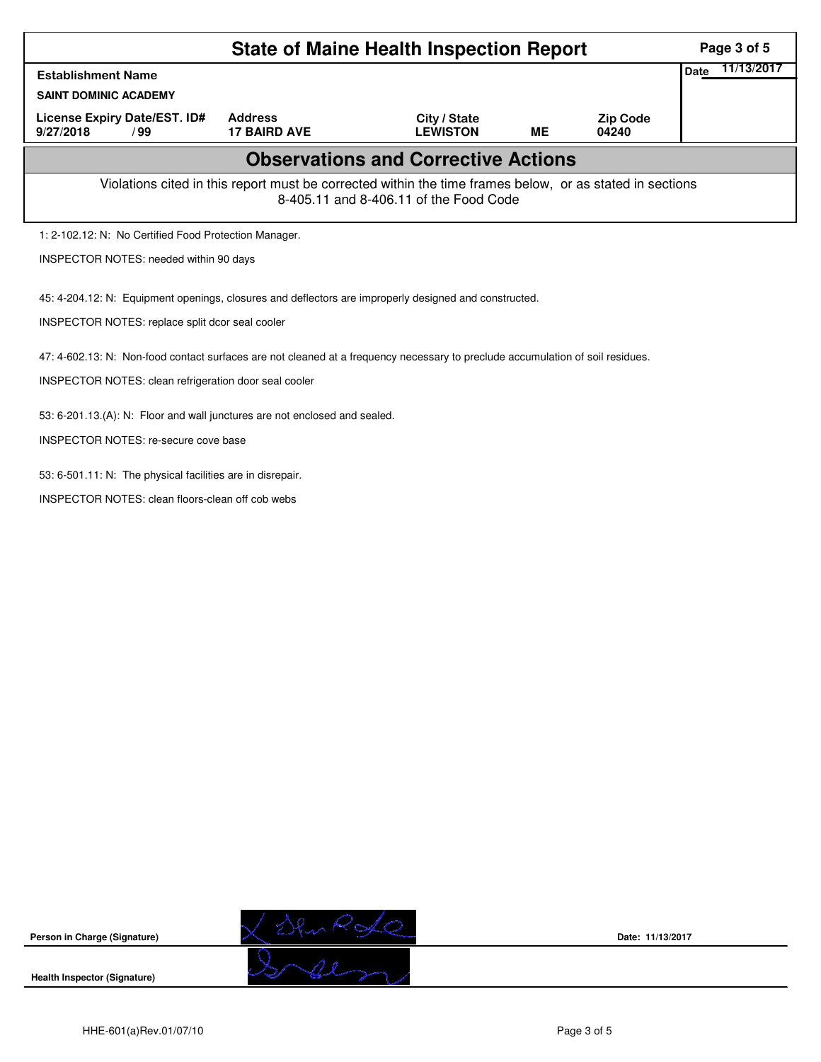|                                                                                                                                | Page 3 of 5                                   |                                                                                                                                                    |           |                          |                    |  |  |  |  |
|--------------------------------------------------------------------------------------------------------------------------------|-----------------------------------------------|----------------------------------------------------------------------------------------------------------------------------------------------------|-----------|--------------------------|--------------------|--|--|--|--|
| <b>Establishment Name</b>                                                                                                      |                                               |                                                                                                                                                    |           |                          | 11/13/2017<br>Date |  |  |  |  |
| <b>SAINT DOMINIC ACADEMY</b>                                                                                                   |                                               |                                                                                                                                                    |           |                          |                    |  |  |  |  |
| License Expiry Date/EST. ID#<br>9/27/2018<br>/99                                                                               | <b>Address</b><br><b>17 BAIRD AVE</b>         | City / State<br><b>LEWISTON</b>                                                                                                                    | <b>ME</b> | <b>Zip Code</b><br>04240 |                    |  |  |  |  |
|                                                                                                                                |                                               | <b>Observations and Corrective Actions</b>                                                                                                         |           |                          |                    |  |  |  |  |
|                                                                                                                                |                                               | Violations cited in this report must be corrected within the time frames below, or as stated in sections<br>8-405.11 and 8-406.11 of the Food Code |           |                          |                    |  |  |  |  |
| 1: 2-102.12: N: No Certified Food Protection Manager.                                                                          |                                               |                                                                                                                                                    |           |                          |                    |  |  |  |  |
|                                                                                                                                | <b>INSPECTOR NOTES: needed within 90 days</b> |                                                                                                                                                    |           |                          |                    |  |  |  |  |
| 45: 4-204.12: N: Equipment openings, closures and deflectors are improperly designed and constructed.                          |                                               |                                                                                                                                                    |           |                          |                    |  |  |  |  |
| INSPECTOR NOTES: replace split dcor seal cooler                                                                                |                                               |                                                                                                                                                    |           |                          |                    |  |  |  |  |
| 47: 4-602.13: N: Non-food contact surfaces are not cleaned at a frequency necessary to preclude accumulation of soil residues. |                                               |                                                                                                                                                    |           |                          |                    |  |  |  |  |
| INSPECTOR NOTES: clean refrigeration door seal cooler                                                                          |                                               |                                                                                                                                                    |           |                          |                    |  |  |  |  |
| 53: 6-201.13.(A): N: Floor and wall junctures are not enclosed and sealed.                                                     |                                               |                                                                                                                                                    |           |                          |                    |  |  |  |  |
| INSPECTOR NOTES: re-secure cove base                                                                                           |                                               |                                                                                                                                                    |           |                          |                    |  |  |  |  |
| 53: 6-501.11: N: The physical facilities are in disrepair.                                                                     |                                               |                                                                                                                                                    |           |                          |                    |  |  |  |  |
| <b>INSPECTOR NOTES: clean floors-clean off cob webs</b>                                                                        |                                               |                                                                                                                                                    |           |                          |                    |  |  |  |  |



**Date: 11/13/2017**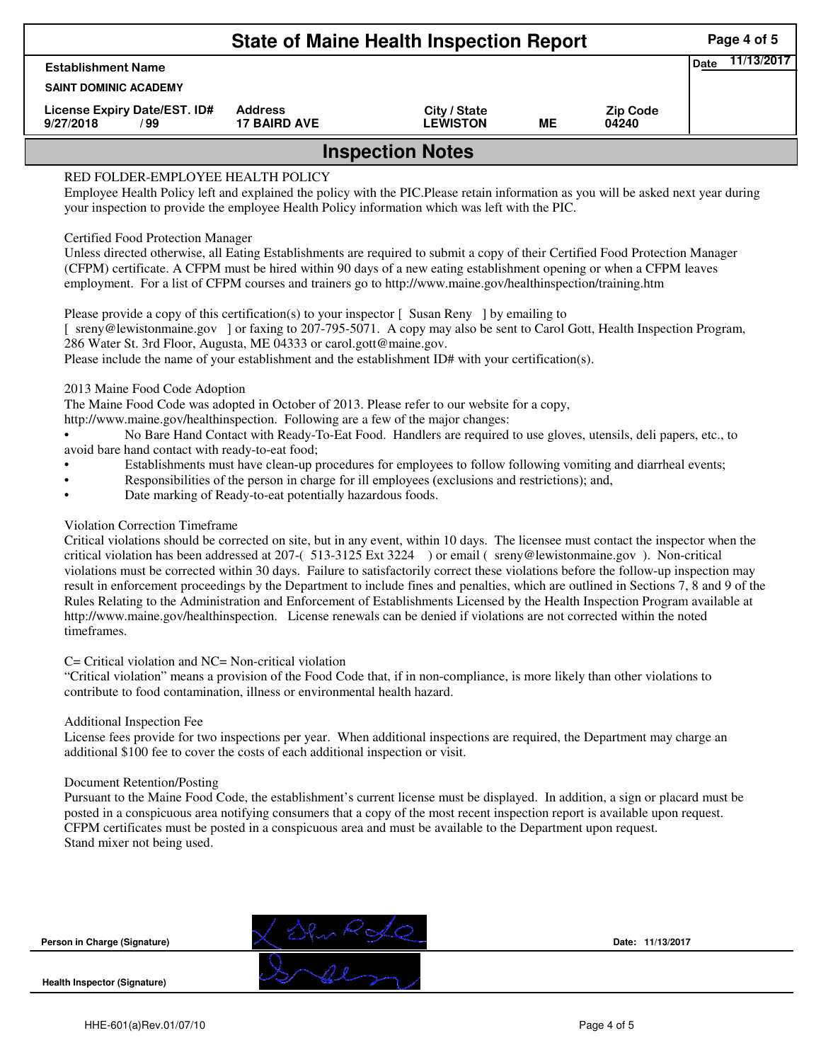| <b>State of Maine Health Inspection Report</b>                                                                                     |                                       |                                 |    |                          |  |  |  |  |  |
|------------------------------------------------------------------------------------------------------------------------------------|---------------------------------------|---------------------------------|----|--------------------------|--|--|--|--|--|
| <b>Establishment Name</b>                                                                                                          |                                       |                                 |    |                          |  |  |  |  |  |
| <b>SAINT DOMINIC ACADEMY</b>                                                                                                       |                                       |                                 |    |                          |  |  |  |  |  |
| License Expiry Date/EST. ID#<br>9/27/2018<br>/ 99                                                                                  | <b>Address</b><br><b>17 BAIRD AVE</b> | City / State<br><b>LEWISTON</b> | ME | <b>Zip Code</b><br>04240 |  |  |  |  |  |
| <b>Inspection Notes</b>                                                                                                            |                                       |                                 |    |                          |  |  |  |  |  |
| RED FOLDER-EMPLOYEE HEALTH POLICY                                                                                                  |                                       |                                 |    |                          |  |  |  |  |  |
| Employee Health Policy left and explained the policy with the PIC. Please retain information as you will be asked next year during |                                       |                                 |    |                          |  |  |  |  |  |
| your inspection to provide the employee Health Policy information which was left with the PIC.                                     |                                       |                                 |    |                          |  |  |  |  |  |
| Certified Food Protection Manager                                                                                                  |                                       |                                 |    |                          |  |  |  |  |  |
| Unless directed otherwise, all Eating Establishments are required to submit a copy of their Certified Food Protection Manager      |                                       |                                 |    |                          |  |  |  |  |  |
| (CFPM) certificate. A CFPM must be hired within 90 days of a new eating establishment opening or when a CFPM leaves                |                                       |                                 |    |                          |  |  |  |  |  |

employment. For a list of CFPM courses and trainers go to http://www.maine.gov/healthinspection/training.htm

Please provide a copy of this certification(s) to your inspector [Susan Reny ] by emailing to [ sreny@lewistonmaine.gov ] or faxing to 207-795-5071. A copy may also be sent to Carol Gott, Health Inspection Program, 286 Water St. 3rd Floor, Augusta, ME 04333 or carol.gott@maine.gov.

Please include the name of your establishment and the establishment ID# with your certification(s).

2013 Maine Food Code Adoption

The Maine Food Code was adopted in October of 2013. Please refer to our website for a copy,

http://www.maine.gov/healthinspection. Following are a few of the major changes:

• No Bare Hand Contact with Ready-To-Eat Food. Handlers are required to use gloves, utensils, deli papers, etc., to avoid bare hand contact with ready-to-eat food;

- Establishments must have clean-up procedures for employees to follow following vomiting and diarrheal events;
- Responsibilities of the person in charge for ill employees (exclusions and restrictions); and,
- Date marking of Ready-to-eat potentially hazardous foods.

## Violation Correction Timeframe

Critical violations should be corrected on site, but in any event, within 10 days. The licensee must contact the inspector when the critical violation has been addressed at 207-( 513-3125 Ext 3224 ) or email ( sreny@lewistonmaine.gov ). Non-critical violations must be corrected within 30 days. Failure to satisfactorily correct these violations before the follow-up inspection may result in enforcement proceedings by the Department to include fines and penalties, which are outlined in Sections 7, 8 and 9 of the Rules Relating to the Administration and Enforcement of Establishments Licensed by the Health Inspection Program available at http://www.maine.gov/healthinspection. License renewals can be denied if violations are not corrected within the noted timeframes.

## C= Critical violation and NC= Non-critical violation

"Critical violation" means a provision of the Food Code that, if in non-compliance, is more likely than other violations to contribute to food contamination, illness or environmental health hazard.

## Additional Inspection Fee

License fees provide for two inspections per year. When additional inspections are required, the Department may charge an additional \$100 fee to cover the costs of each additional inspection or visit.

## Document Retention/Posting

Pursuant to the Maine Food Code, the establishment's current license must be displayed. In addition, a sign or placard must be posted in a conspicuous area notifying consumers that a copy of the most recent inspection report is available upon request. CFPM certificates must be posted in a conspicuous area and must be available to the Department upon request. Stand mixer not being used.

**Person in Charge (Signature)**

**Health Inspector (Signature)** 

**Date: 11/13/2017**